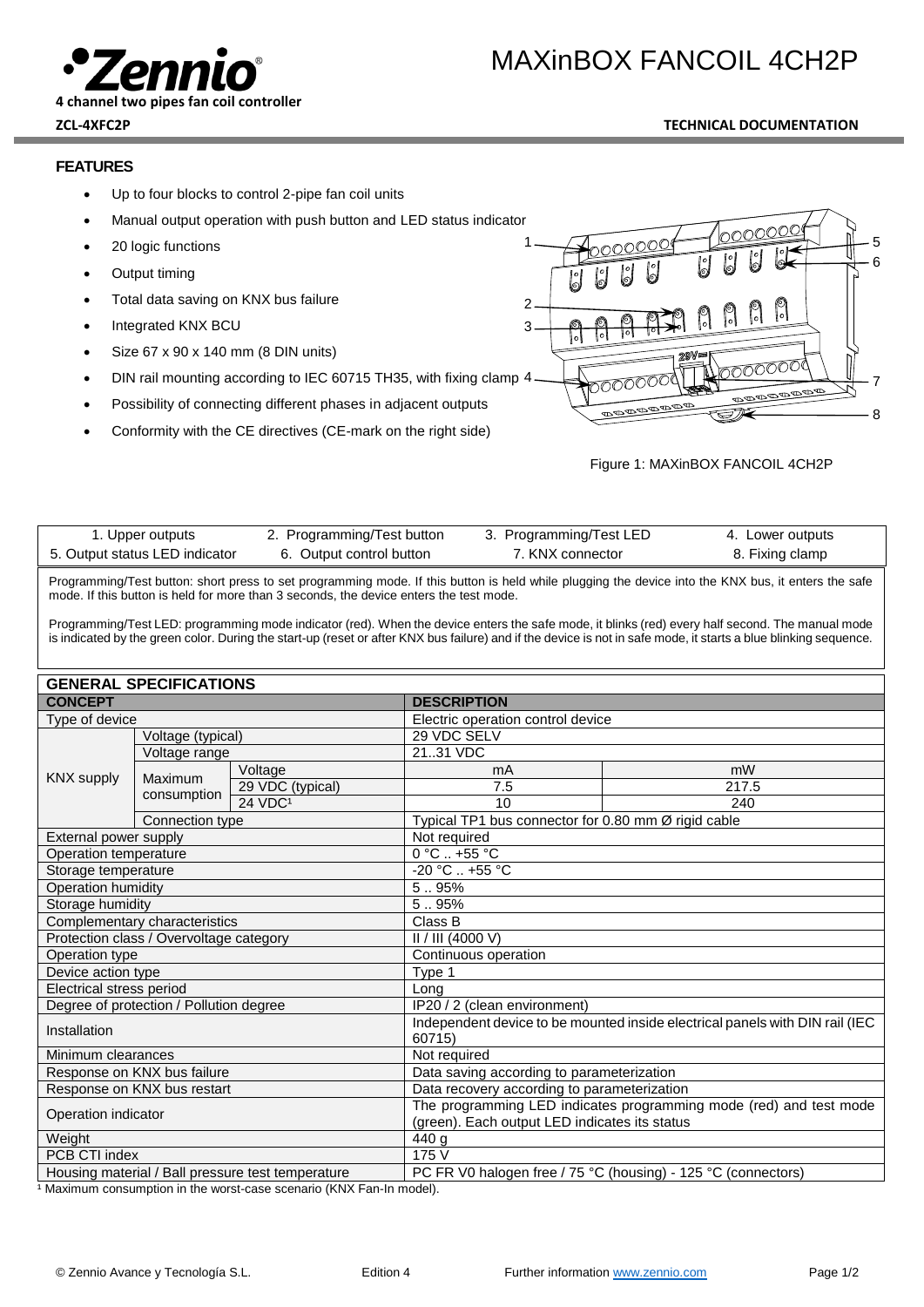

### **ZCL-4XFC2P TECHNICAL DOCUMENTATION**

## **FEATURES**

- Up to four blocks to control 2-pipe fan coil units
- Manual output operation with push button and LED status indicator
- 20 logic functions
- Output timing
- Total data saving on KNX bus failure
- Integrated KNX BCU
- Size 67 x 90 x 140 mm (8 DIN units)
- DIN rail mounting according to IEC 60715 TH35, with fixing clamp 4
- Possibility of connecting different phases in adjacent outputs
- Conformity with the CE directives (CE-mark on the right side)

 $1 - \sqrt{3}$ 6 2 3 7 <u>toooc</u> **DOODOOD** 8

#### Figure 1: MAXinBOX FANCOIL 4CH2P

| 1. Upper outputs               | 2. Programming/Test button | 3. Programming/Test LED | 4. Lower outputs |
|--------------------------------|----------------------------|-------------------------|------------------|
| 5. Output status LED indicator | 6. Output control button   | 7. KNX connector        | 8. Fixing clamp  |

Programming/Test button: short press to set programming mode. If this button is held while plugging the device into the KNX bus, it enters the safe mode. If this button is held for more than 3 seconds, the device enters the test mode.

Programming/Test LED: programming mode indicator (red). When the device enters the safe mode, it blinks (red) every half second. The manual mode is indicated by the green color. During the start-up (reset or after KNX bus failure) and if the device is not in safe mode, it starts a blue blinking sequence.

| <b>GENERAL SPECIFICATIONS</b>                     |                 |                                                                                                                     |                                   |                                                     |  |
|---------------------------------------------------|-----------------|---------------------------------------------------------------------------------------------------------------------|-----------------------------------|-----------------------------------------------------|--|
| <b>CONCEPT</b>                                    |                 | <b>DESCRIPTION</b>                                                                                                  |                                   |                                                     |  |
| Type of device                                    |                 |                                                                                                                     | Electric operation control device |                                                     |  |
| Voltage (typical)                                 |                 | 29 VDC SELV                                                                                                         |                                   |                                                     |  |
| Voltage range                                     |                 | 2131 VDC                                                                                                            |                                   |                                                     |  |
| <b>KNX supply</b>                                 |                 | Voltage                                                                                                             | mA                                | mW                                                  |  |
|                                                   | Maximum         | 29 VDC (typical)                                                                                                    | 7.5                               | 217.5                                               |  |
|                                                   | consumption     | 24 VDC <sup>1</sup>                                                                                                 | 10                                | 240                                                 |  |
|                                                   | Connection type |                                                                                                                     |                                   | Typical TP1 bus connector for 0.80 mm Ø rigid cable |  |
| External power supply                             |                 | Not required                                                                                                        |                                   |                                                     |  |
| Operation temperature                             |                 | $0^{\circ}$ C  +55 $^{\circ}$ C                                                                                     |                                   |                                                     |  |
| Storage temperature                               |                 | $-20 °C. +55 °C$                                                                                                    |                                   |                                                     |  |
| Operation humidity                                |                 | 5.95%                                                                                                               |                                   |                                                     |  |
| Storage humidity                                  |                 | 5.95%                                                                                                               |                                   |                                                     |  |
| Complementary characteristics                     |                 | Class B                                                                                                             |                                   |                                                     |  |
| Protection class / Overvoltage category           |                 | II / III (4000 V)                                                                                                   |                                   |                                                     |  |
| Operation type                                    |                 | Continuous operation                                                                                                |                                   |                                                     |  |
| Device action type                                |                 | Type 1                                                                                                              |                                   |                                                     |  |
| Electrical stress period                          |                 | Long                                                                                                                |                                   |                                                     |  |
| Degree of protection / Pollution degree           |                 | IP20 / 2 (clean environment)                                                                                        |                                   |                                                     |  |
| Installation                                      |                 | Independent device to be mounted inside electrical panels with DIN rail (IEC<br>60715)                              |                                   |                                                     |  |
| Minimum clearances                                |                 | Not required                                                                                                        |                                   |                                                     |  |
| Response on KNX bus failure                       |                 | Data saving according to parameterization                                                                           |                                   |                                                     |  |
| Response on KNX bus restart                       |                 | Data recovery according to parameterization                                                                         |                                   |                                                     |  |
| Operation indicator                               |                 | The programming LED indicates programming mode (red) and test mode<br>(green). Each output LED indicates its status |                                   |                                                     |  |
| Weight                                            |                 | 440 g                                                                                                               |                                   |                                                     |  |
| PCB CTI index                                     |                 | 175 V                                                                                                               |                                   |                                                     |  |
| Housing material / Ball pressure test temperature |                 | PC FR V0 halogen free / 75 °C (housing) - 125 °C (connectors)                                                       |                                   |                                                     |  |

1 Maximum consumption in the worst-case scenario (KNX Fan-In model).